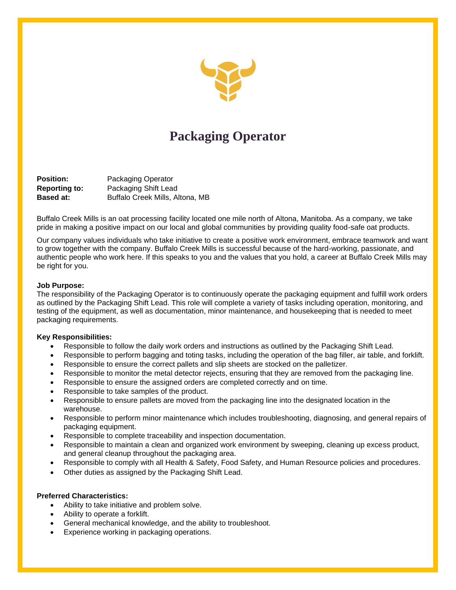

# **Packaging Operator**

**Position:** Packaging Operator **Reporting to:** Packaging Shift Lead **Based at:** Buffalo Creek Mills, Altona, MB

Buffalo Creek Mills is an oat processing facility located one mile north of Altona, Manitoba. As a company, we take pride in making a positive impact on our local and global communities by providing quality food-safe oat products.

Our company values individuals who take initiative to create a positive work environment, embrace teamwork and want to grow together with the company. Buffalo Creek Mills is successful because of the hard-working, passionate, and authentic people who work here. If this speaks to you and the values that you hold, a career at Buffalo Creek Mills may be right for you.

#### **Job Purpose:**

The responsibility of the Packaging Operator is to continuously operate the packaging equipment and fulfill work orders as outlined by the Packaging Shift Lead. This role will complete a variety of tasks including operation, monitoring, and testing of the equipment, as well as documentation, minor maintenance, and housekeeping that is needed to meet packaging requirements.

## **Key Responsibilities:**

- Responsible to follow the daily work orders and instructions as outlined by the Packaging Shift Lead.
- Responsible to perform bagging and toting tasks, including the operation of the bag filler, air table, and forklift.
- Responsible to ensure the correct pallets and slip sheets are stocked on the palletizer.
- Responsible to monitor the metal detector rejects, ensuring that they are removed from the packaging line.
- Responsible to ensure the assigned orders are completed correctly and on time.
- Responsible to take samples of the product.
- Responsible to ensure pallets are moved from the packaging line into the designated location in the warehouse.
- Responsible to perform minor maintenance which includes troubleshooting, diagnosing, and general repairs of packaging equipment.
- Responsible to complete traceability and inspection documentation.
- Responsible to maintain a clean and organized work environment by sweeping, cleaning up excess product, and general cleanup throughout the packaging area.
- Responsible to comply with all Health & Safety, Food Safety, and Human Resource policies and procedures.
- Other duties as assigned by the Packaging Shift Lead.

## **Preferred Characteristics:**

- Ability to take initiative and problem solve.
- Ability to operate a forklift.
- General mechanical knowledge, and the ability to troubleshoot.
- Experience working in packaging operations.